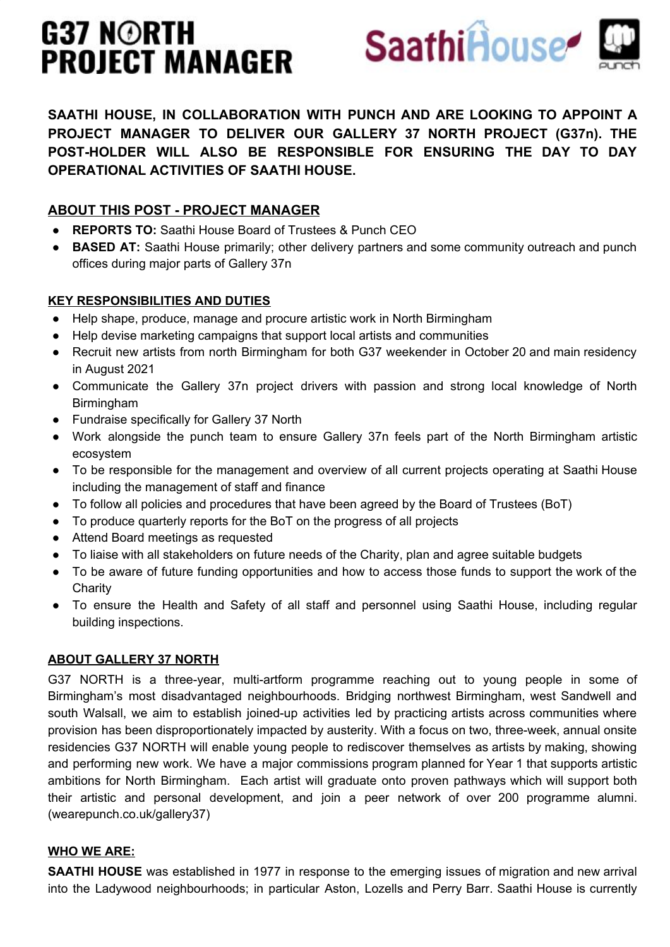# G37 N©RTH **PROJECT MANAGER**



**SAATHI HOUSE, IN COLLABORATION WITH PUNCH AND ARE LOOKING TO APPOINT A PROJECT MANAGER TO DELIVER OUR GALLERY 37 NORTH PROJECT (G37n). THE POST-HOLDER WILL ALSO BE RESPONSIBLE FOR ENSURING THE DAY TO DAY OPERATIONAL ACTIVITIES OF SAATHI HOUSE.** 

## **ABOUT THIS POST - PROJECT MANAGER**

- **REPORTS TO:** Saathi House Board of Trustees & Punch CEO
- **BASED AT:** Saathi House primarily; other delivery partners and some community outreach and punch offices during major parts of Gallery 37n

## **KEY RESPONSIBILITIES AND DUTIES**

- Help shape, produce, manage and procure artistic work in North Birmingham
- Help devise marketing campaigns that support local artists and communities
- Recruit new artists from north Birmingham for both G37 weekender in October 20 and main residency in August 2021
- Communicate the Gallery 37n project drivers with passion and strong local knowledge of North Birmingham
- Fundraise specifically for Gallery 37 North
- Work alongside the punch team to ensure Gallery 37n feels part of the North Birmingham artistic ecosystem
- To be responsible for the management and overview of all current projects operating at Saathi House including the management of staff and finance
- To follow all policies and procedures that have been agreed by the Board of Trustees (BoT)
- To produce quarterly reports for the BoT on the progress of all projects
- Attend Board meetings as requested
- To liaise with all stakeholders on future needs of the Charity, plan and agree suitable budgets
- To be aware of future funding opportunities and how to access those funds to support the work of the **Charity**
- To ensure the Health and Safety of all staff and personnel using Saathi House, including regular building inspections.

## **ABOUT GALLERY 37 NORTH**

G37 NORTH is a three-year, multi-artform programme reaching out to young people in some of Birmingham's most disadvantaged neighbourhoods. Bridging northwest Birmingham, west Sandwell and south Walsall, we aim to establish joined-up activities led by practicing artists across communities where provision has been disproportionately impacted by austerity. With a focus on two, three-week, annual onsite residencies G37 NORTH will enable young people to rediscover themselves as artists by making, showing and performing new work. We have a major commissions program planned for Year 1 that supports artistic ambitions for North Birmingham. Each artist will graduate onto proven pathways which will support both their artistic and personal development, and join a peer network of over 200 programme alumni. (wearepunch.co.uk/gallery37)

## **WHO WE ARE:**

**SAATHI HOUSE** was established in 1977 in response to the emerging issues of migration and new arrival into the Ladywood neighbourhoods; in particular Aston, Lozells and Perry Barr. Saathi House is currently